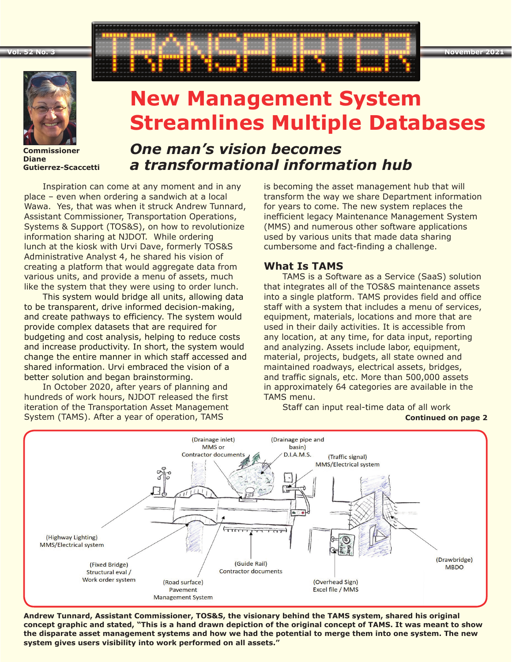**Vol. 52 No. 3 November 2021**



**Commissioner Diane Gutierrez-Scaccetti**

# **New Management System Streamlines Multiple Databases**

## *One man's vision becomes a transformational information hub*

Inspiration can come at any moment and in any place – even when ordering a sandwich at a local Wawa. Yes, that was when it struck Andrew Tunnard, Assistant Commissioner, Transportation Operations, Systems & Support (TOS&S), on how to revolutionize information sharing at NJDOT. While ordering lunch at the kiosk with Urvi Dave, formerly TOS&S Administrative Analyst 4, he shared his vision of creating a platform that would aggregate data from various units, and provide a menu of assets, much like the system that they were using to order lunch.

This system would bridge all units, allowing data to be transparent, drive informed decision-making, and create pathways to efficiency. The system would provide complex datasets that are required for budgeting and cost analysis, helping to reduce costs and increase productivity. In short, the system would change the entire manner in which staff accessed and shared information. Urvi embraced the vision of a better solution and began brainstorming.

In October 2020, after years of planning and hundreds of work hours, NJDOT released the first iteration of the Transportation Asset Management System (TAMS). After a year of operation, TAMS

is becoming the asset management hub that will transform the way we share Department information for years to come. The new system replaces the inefficient legacy Maintenance Management System (MMS) and numerous other software applications used by various units that made data sharing cumbersome and fact-finding a challenge.

### **What Is TAMS**

TAMS is a Software as a Service (SaaS) solution that integrates all of the TOS&S maintenance assets into a single platform. TAMS provides field and office staff with a system that includes a menu of services, equipment, materials, locations and more that are used in their daily activities. It is accessible from any location, at any time, for data input, reporting and analyzing. Assets include labor, equipment, material, projects, budgets, all state owned and maintained roadways, electrical assets, bridges, and traffic signals, etc. More than 500,000 assets in approximately 64 categories are available in the TAMS menu.

(Drainage inlet) (Drainage pipe and MMS or basin) Contractor documen  $D.I.A.M.S.$ (Traffic signal) MMS/Electrical system  $\ddot{\phantom{0}}$  $\sqrt{111111}$  $\overline{\cdots}$ (Highway Lighting) MMS/Electrical system (Drawbridge) (Guide Rail) (Fixed Bridge) **MBDO Contractor documents** Structural eval / Work order system (Road surface) (Overhead Sign) Excel file / MMS Pavement **Management System** 

**Andrew Tunnard, Assistant Commissioner, TOS&S, the visionary behind the TAMS system, shared his original concept graphic and stated, "This is a hand drawn depiction of the original concept of TAMS. It was meant to show the disparate asset management systems and how we had the potential to merge them into one system. The new system gives users visibility into work performed on all assets."**

**Continued on page 2** Staff can input real-time data of all work